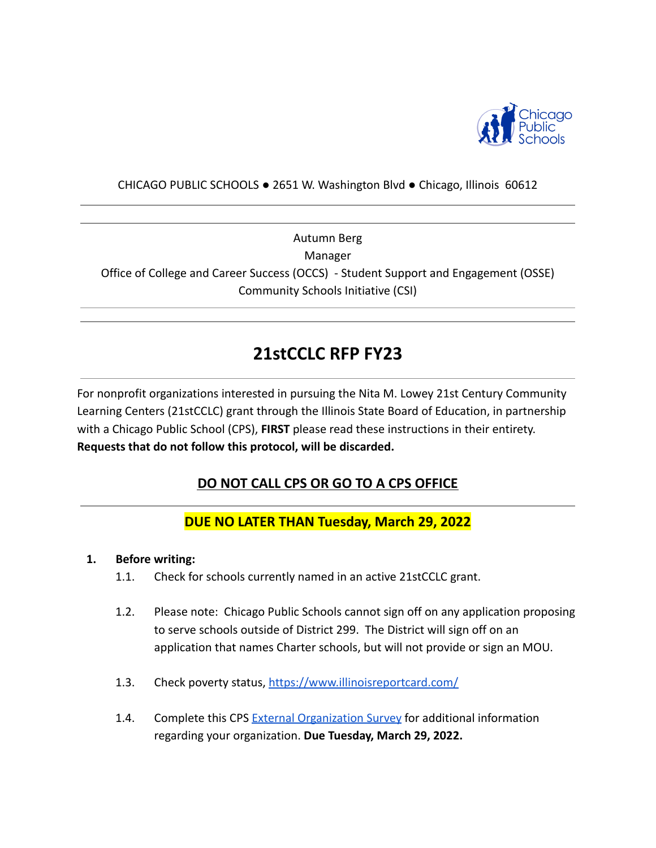

#### CHICAGO PUBLIC SCHOOLS ● 2651 W. Washington Blvd ● Chicago, Illinois 60612

Autumn Berg Manager Office of College and Career Success (OCCS) - Student Support and Engagement (OSSE) Community Schools Initiative (CSI)

# **21stCCLC RFP FY23**

For nonprofit organizations interested in pursuing the Nita M. Lowey 21st Century Community Learning Centers (21stCCLC) grant through the Illinois State Board of Education, in partnership with a Chicago Public School (CPS), **FIRST** please read these instructions in their entirety. **Requests that do not follow this protocol, will be discarded.**

# **DO NOT CALL CPS OR GO TO A CPS OFFICE**

# **DUE NO LATER THAN Tuesday, March 29, 2022**

#### **1. Before writing:**

- 1.1. Check for schools currently named in an active 21stCCLC grant.
- 1.2. Please note: Chicago Public Schools cannot sign off on any application proposing to serve schools outside of District 299. The District will sign off on an application that names Charter schools, but will not provide or sign an MOU.
- 1.3. Check poverty status, <https://www.illinoisreportcard.com/>
- 1.4. Complete this CPS [External Organization Survey](https://docs.google.com/forms/d/e/1FAIpQLSe5R1ACPFXWvZnBQt8M4vL2JjDbawEPq4l1d0ti9jW9I5FvNw/viewform?usp=sf_link) for additional information regarding your organization. **Due Tuesday, March 29, 2022.**